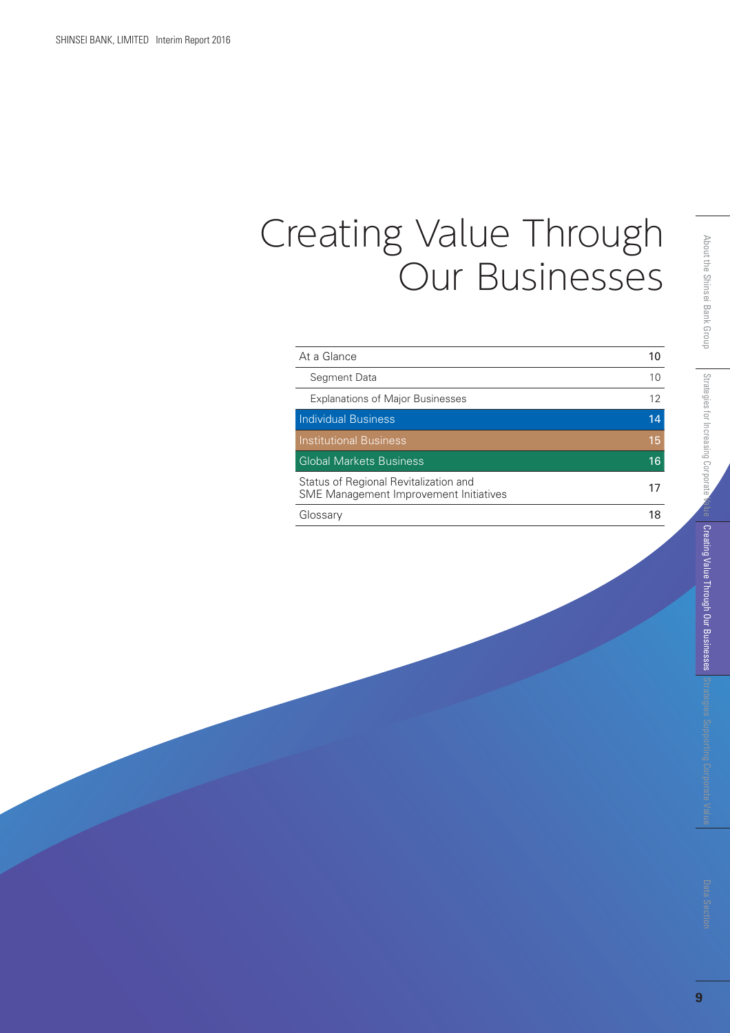# Creating Value Through Our Businesses

| At a Glance                                                                     | 10 |
|---------------------------------------------------------------------------------|----|
| Segment Data                                                                    | 10 |
| <b>Explanations of Major Businesses</b>                                         | 12 |
| <b>Individual Business</b>                                                      | 14 |
| <b>Institutional Business</b>                                                   | 15 |
| <b>Global Markets Business</b>                                                  | 16 |
| Status of Regional Revitalization and<br>SME Management Improvement Initiatives |    |
| Glossary                                                                        | 18 |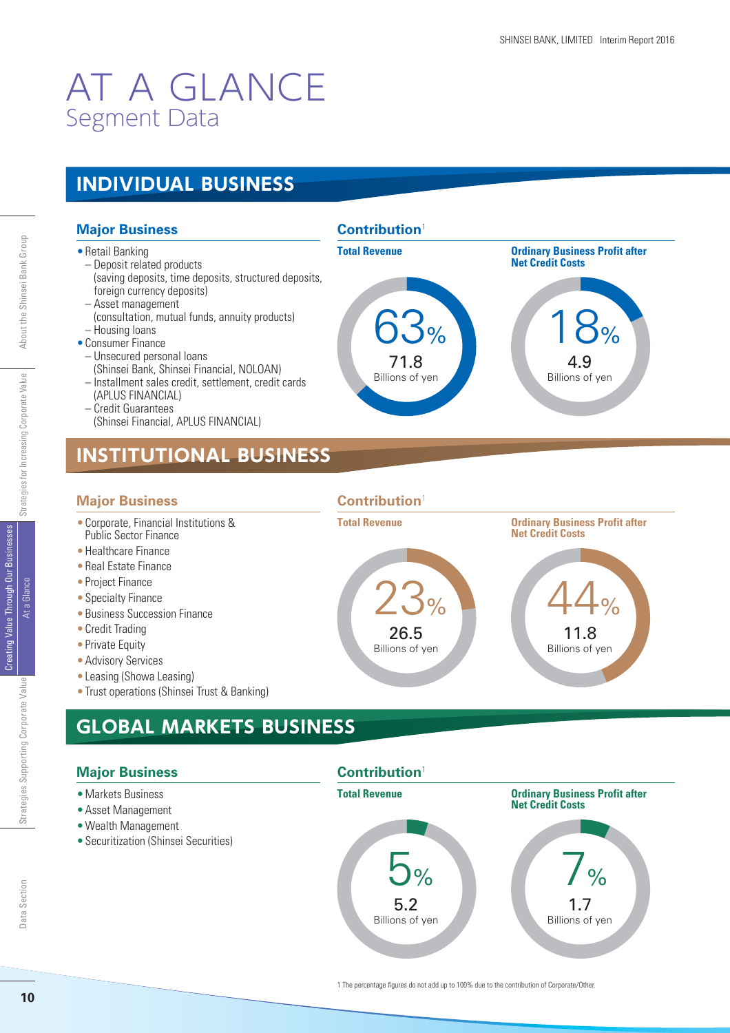## AT A GLANCE Segment Data

### **INDIVIDUAL BUSINESS**

#### **Major Business**

- Retail Banking
	- Deposit related products (saving deposits, time deposits, structured deposits, foreign currency deposits)
- Asset management
- (consultation, mutual funds, annuity products) – Housing loans
- Consumer Finance
- Unsecured personal loans
- (Shinsei Bank, Shinsei Financial, NOLOAN)
- Installment sales credit, settlement, credit cards
- (APLUS FINANCIAL) – Credit Guarantees
- (Shinsei Financial, APLUS FINANCIAL)

## **INSTITUTIONAL BUSINESS**

#### **Major Business**

- Corporate, Financial Institutions & Public Sector Finance
- Healthcare Finance
- Real Estate Finance
- Project Finance
- Specialty Finance
- Business Succession Finance
- Credit Trading
- Private Equity
- Advisory Services
- Leasing (Showa Leasing)
- Trust operations (Shinsei Trust & Banking)

## **GLOBAL MARKETS BUSINESS**

#### **Major Business**

- Markets Business
- Asset Management
- Wealth Management
- Securitization (Shinsei Securities)





#### **Contribution**<sup>1</sup>

**Contribution**<sup>1</sup>

5.2 Billions of yen



**Total Revenue Community Community Community Profit after profit after** 

5% 7%

Creating Value Through Our Businesses

Creating Value Through Our Businesse At a Glance

1.7 Billions of yen

**Net Credit Costs**

Strategies for Increasing Corporate Value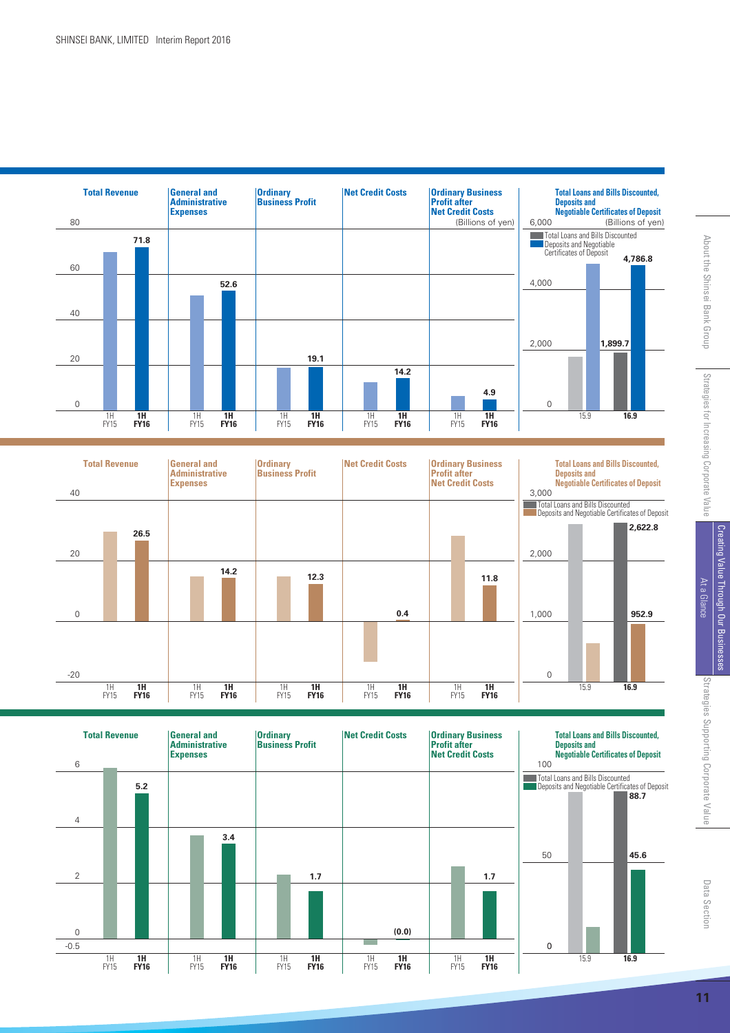





Strategies Supporting Corporate Value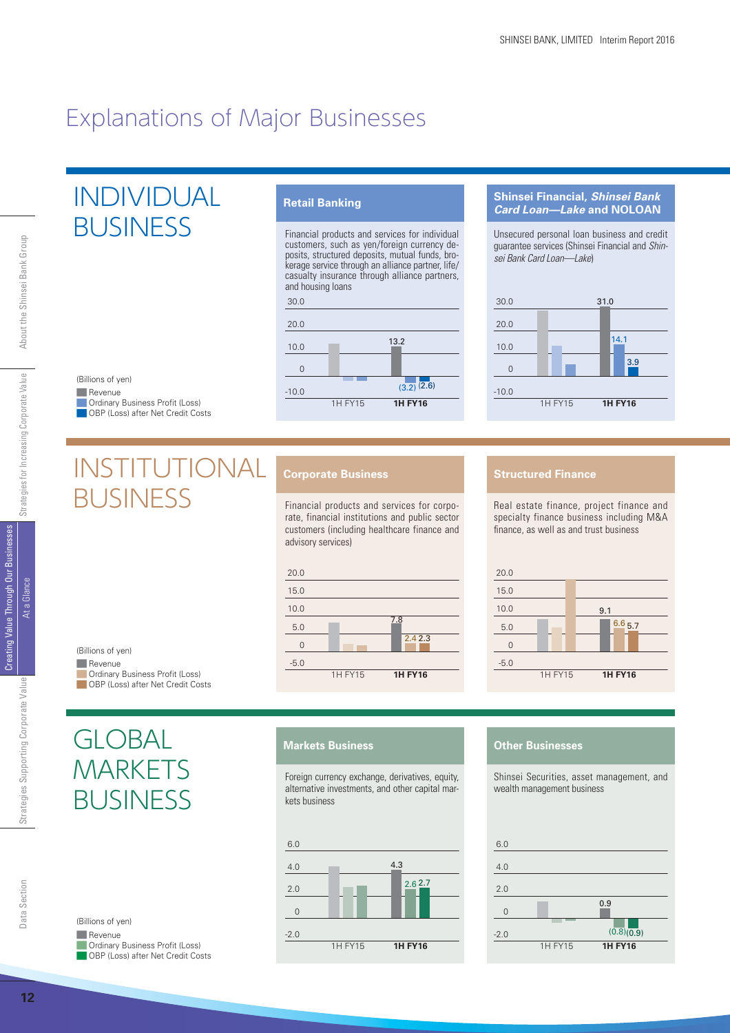## Explanations of Major Businesses

## INDIVIDUAL BUSINESS

#### **Retail Banking**

Financial products and services for individual customers, such as yen/foreign currency deposits, structured deposits, mutual funds, brokerage service through an alliance partner, life/ casualty insurance through alliance partners, and housing loans



#### **Shinsei Financial,** *Shinsei Bank Card Loan—Lake* **and NOLOAN**

Unsecured personal loan business and credit guarantee services (Shinsei Financial and Shinsei Bank Card Loan—Lake)



#### Revenue **Ordinary Business Profit (Loss) OBP** (Loss) after Net Credit Costs (Billions of yen)

## INSTITUTIONAL BUSINESS

#### **Corporate Business**

Financial products and services for corporate, financial institutions and public sector customers (including healthcare finance and advisory services)



#### **Structured Finance**

Real estate finance, project finance and specialty finance business including M&A finance, as well as and trust business



Creating Value Through Our Businesses

**Creating Value Through Our Businesse** At a Glance

**12**About the Strategies Supporting Corporate Value At a Glance At a Glance Strategies for Increasing Corporate Value About the Shinsei Bank Group Strategies Supporting Corporate Value

#### Revenue (Billions of yen)

**Ordinary Business Profit (Loss) OBP** (Loss) after Net Credit Costs

**GLOBAL** 

Revenue

(Billions of yen)

**MARKETS** 

**Ordinary Business Profit (Loss)** OBP (Loss) after Net Credit Costs

BUSINESS

#### **Markets Business**

Foreign currency exchange, derivatives, equity, alternative investments, and other capital markets business



#### **Other Businesses**

Shinsei Securities, asset management, and wealth management business

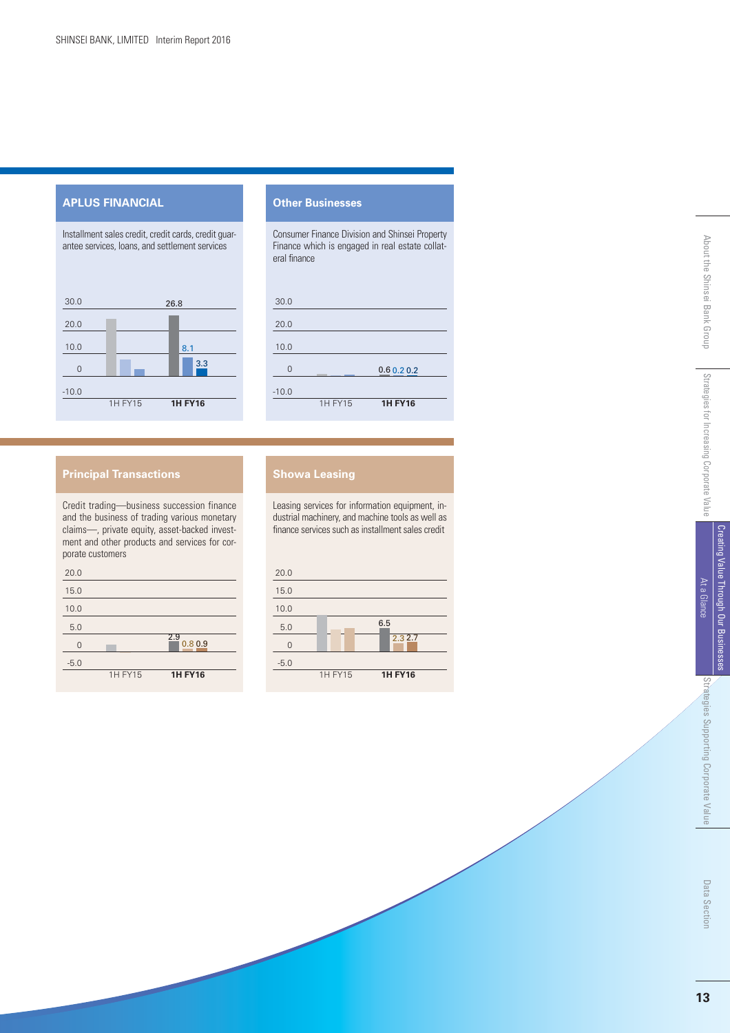#### **APLUS FINANCIAL**

Installment sales credit, credit cards, credit guarantee services, loans, and settlement services



#### **Other Businesses**

Consumer Finance Division and Shinsei Property Finance which is engaged in real estate collateral finance

| 30.0     |         |                |  |
|----------|---------|----------------|--|
| 20.0     |         |                |  |
| 10.0     |         |                |  |
| $\Omega$ |         | 0.60.20.2      |  |
| $-10.0$  |         |                |  |
|          | 1H FY15 | <b>1H FY16</b> |  |

#### **Principal Transactions**

Credit trading—business succession finance and the business of trading various monetary claims—, private equity, asset-backed investment and other products and services for corporate customers



#### **Showa Leasing**

Leasing services for information equipment, industrial machinery, and machine tools as well as finance services such as installment sales credit

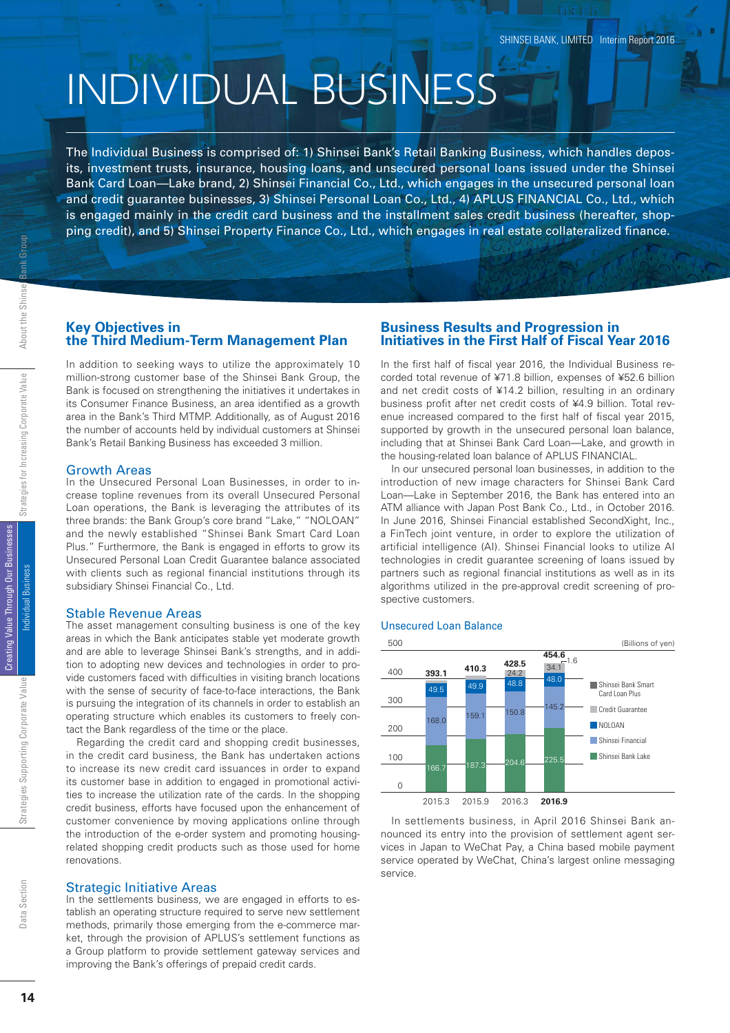# INDIVIDUAL BUSINESS

The Individual Business is comprised of: 1) Shinsei Bank's Retail Banking Business, which handles deposits, investment trusts, insurance, housing loans, and unsecured personal loans issued under the Shinsei Bank Card Loan—Lake brand, 2) Shinsei Financial Co., Ltd., which engages in the unsecured personal loan and credit guarantee businesses, 3) Shinsei Personal Loan Co., Ltd., 4) APLUS FINANCIAL Co., Ltd., which is engaged mainly in the credit card business and the installment sales credit business (hereafter, shopping credit), and 5) Shinsei Property Finance Co., Ltd., which engages in real estate collateralized finance.

#### **Key Objectives in the Third Medium-Term Management Plan**

In addition to seeking ways to utilize the approximately 10 million-strong customer base of the Shinsei Bank Group, the Bank is focused on strengthening the initiatives it undertakes in its Consumer Finance Business, an area identified as a growth area in the Bank's Third MTMP. Additionally, as of August 2016 the number of accounts held by individual customers at Shinsei Bank's Retail Banking Business has exceeded 3 million.

#### Growth Areas

In the Unsecured Personal Loan Businesses, in order to increase topline revenues from its overall Unsecured Personal Loan operations, the Bank is leveraging the attributes of its three brands: the Bank Group's core brand "Lake," "NOLOAN" and the newly established "Shinsei Bank Smart Card Loan Plus." Furthermore, the Bank is engaged in efforts to grow its Unsecured Personal Loan Credit Guarantee balance associated with clients such as regional financial institutions through its subsidiary Shinsei Financial Co., Ltd.

#### Stable Revenue Areas

The asset management consulting business is one of the key areas in which the Bank anticipates stable yet moderate growth and are able to leverage Shinsei Bank's strengths, and in addition to adopting new devices and technologies in order to provide customers faced with difficulties in visiting branch locations with the sense of security of face-to-face interactions, the Bank is pursuing the integration of its channels in order to establish an operating structure which enables its customers to freely contact the Bank regardless of the time or the place.

Regarding the credit card and shopping credit businesses, in the credit card business, the Bank has undertaken actions to increase its new credit card issuances in order to expand its customer base in addition to engaged in promotional activities to increase the utilization rate of the cards. In the shopping credit business, efforts have focused upon the enhancement of customer convenience by moving applications online through the introduction of the e-order system and promoting housingrelated shopping credit products such as those used for home renovations.

#### Strategic Initiative Areas

In the settlements business, we are engaged in efforts to establish an operating structure required to serve new settlement methods, primarily those emerging from the e-commerce market, through the provision of APLUS's settlement functions as a Group platform to provide settlement gateway services and improving the Bank's offerings of prepaid credit cards.

#### **Business Results and Progression in Initiatives in the First Half of Fiscal Year 2016**

In the first half of fiscal year 2016, the Individual Business recorded total revenue of ¥71.8 billion, expenses of ¥52.6 billion and net credit costs of ¥14.2 billion, resulting in an ordinary business profit after net credit costs of ¥4.9 billion. Total revenue increased compared to the first half of fiscal year 2015, supported by growth in the unsecured personal loan balance, including that at Shinsei Bank Card Loan—Lake, and growth in the housing-related loan balance of APLUS FINANCIAL.

In our unsecured personal loan businesses, in addition to the introduction of new image characters for Shinsei Bank Card Loan—Lake in September 2016, the Bank has entered into an ATM alliance with Japan Post Bank Co., Ltd., in October 2016. In June 2016, Shinsei Financial established SecondXight, Inc., a FinTech joint venture, in order to explore the utilization of artificial intelligence (AI). Shinsei Financial looks to utilize AI technologies in credit guarantee screening of loans issued by partners such as regional financial institutions as well as in its algorithms utilized in the pre-approval credit screening of prospective customers.

#### Unsecured Loan Balance



In settlements business, in April 2016 Shinsei Bank announced its entry into the provision of settlement agent services in Japan to WeChat Pay, a China based mobile payment service operated by WeChat, China's largest online messaging service.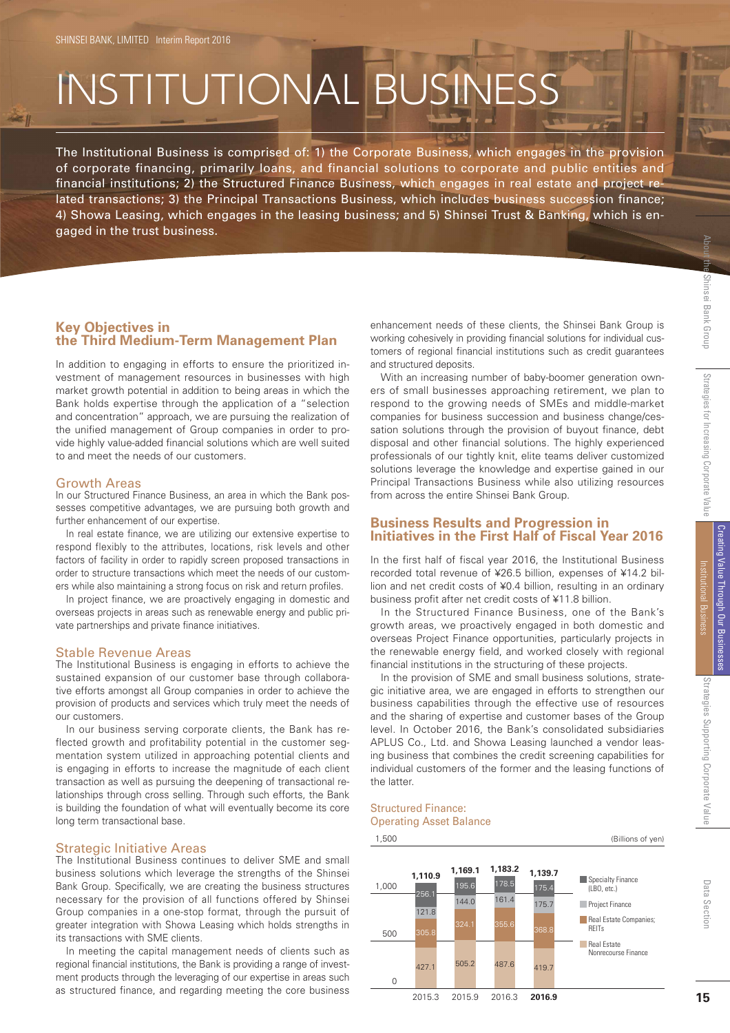421

# INSTITUTIONAL BUSINESS

The Institutional Business is comprised of: 1) the Corporate Business, which engages in the provision of corporate financing, primarily loans, and financial solutions to corporate and public entities and financial institutions; 2) the Structured Finance Business, which engages in real estate and project related transactions: 3) the Principal Transactions Business, which includes business succession finance; 4) Showa Leasing, which engages in the leasing business; and 5) Shinsei Trust & Banking, which is engaged in the trust business.

#### **Key Objectives in the Third Medium-Term Management Plan**

In addition to engaging in efforts to ensure the prioritized investment of management resources in businesses with high market growth potential in addition to being areas in which the Bank holds expertise through the application of a "selection and concentration" approach, we are pursuing the realization of the unified management of Group companies in order to provide highly value-added financial solutions which are well suited to and meet the needs of our customers.

#### Growth Areas

In our Structured Finance Business, an area in which the Bank possesses competitive advantages, we are pursuing both growth and further enhancement of our expertise.

In real estate finance, we are utilizing our extensive expertise to respond flexibly to the attributes, locations, risk levels and other factors of facility in order to rapidly screen proposed transactions in order to structure transactions which meet the needs of our customers while also maintaining a strong focus on risk and return profiles.

In project finance, we are proactively engaging in domestic and overseas projects in areas such as renewable energy and public private partnerships and private finance initiatives.

#### Stable Revenue Areas

The Institutional Business is engaging in efforts to achieve the sustained expansion of our customer base through collaborative efforts amongst all Group companies in order to achieve the provision of products and services which truly meet the needs of our customers.

In our business serving corporate clients, the Bank has reflected growth and profitability potential in the customer segmentation system utilized in approaching potential clients and is engaging in efforts to increase the magnitude of each client transaction as well as pursuing the deepening of transactional relationships through cross selling. Through such efforts, the Bank is building the foundation of what will eventually become its core long term transactional base.

#### Strategic Initiative Areas

The Institutional Business continues to deliver SME and small business solutions which leverage the strengths of the Shinsei Bank Group. Specifically, we are creating the business structures necessary for the provision of all functions offered by Shinsei Group companies in a one-stop format, through the pursuit of greater integration with Showa Leasing which holds strengths in its transactions with SME clients.

In meeting the capital management needs of clients such as regional financial institutions, the Bank is providing a range of investment products through the leveraging of our expertise in areas such as structured finance, and regarding meeting the core business

enhancement needs of these clients, the Shinsei Bank Group is working cohesively in providing financial solutions for individual customers of regional financial institutions such as credit guarantees and structured deposits.

With an increasing number of baby-boomer generation owners of small businesses approaching retirement, we plan to respond to the growing needs of SMEs and middle-market companies for business succession and business change/cessation solutions through the provision of buyout finance, debt disposal and other financial solutions. The highly experienced professionals of our tightly knit, elite teams deliver customized solutions leverage the knowledge and expertise gained in our Principal Transactions Business while also utilizing resources from across the entire Shinsei Bank Group.

#### **Business Results and Progression in Initiatives in the First Half of Fiscal Year 2016**

In the first half of fiscal year 2016, the Institutional Business recorded total revenue of ¥26.5 billion, expenses of ¥14.2 billion and net credit costs of ¥0.4 billion, resulting in an ordinary business profit after net credit costs of ¥11.8 billion.

In the Structured Finance Business, one of the Bank's growth areas, we proactively engaged in both domestic and overseas Project Finance opportunities, particularly projects in the renewable energy field, and worked closely with regional financial institutions in the structuring of these projects.

In the provision of SME and small business solutions, strategic initiative area, we are engaged in efforts to strengthen our business capabilities through the effective use of resources and the sharing of expertise and customer bases of the Group level. In October 2016, the Bank's consolidated subsidiaries APLUS Co., Ltd. and Showa Leasing launched a vendor leasing business that combines the credit screening capabilities for individual customers of the former and the leasing functions of the latter.

#### Structured Finance: Operating Asset Balance

#### 1,500



(Billions of yen)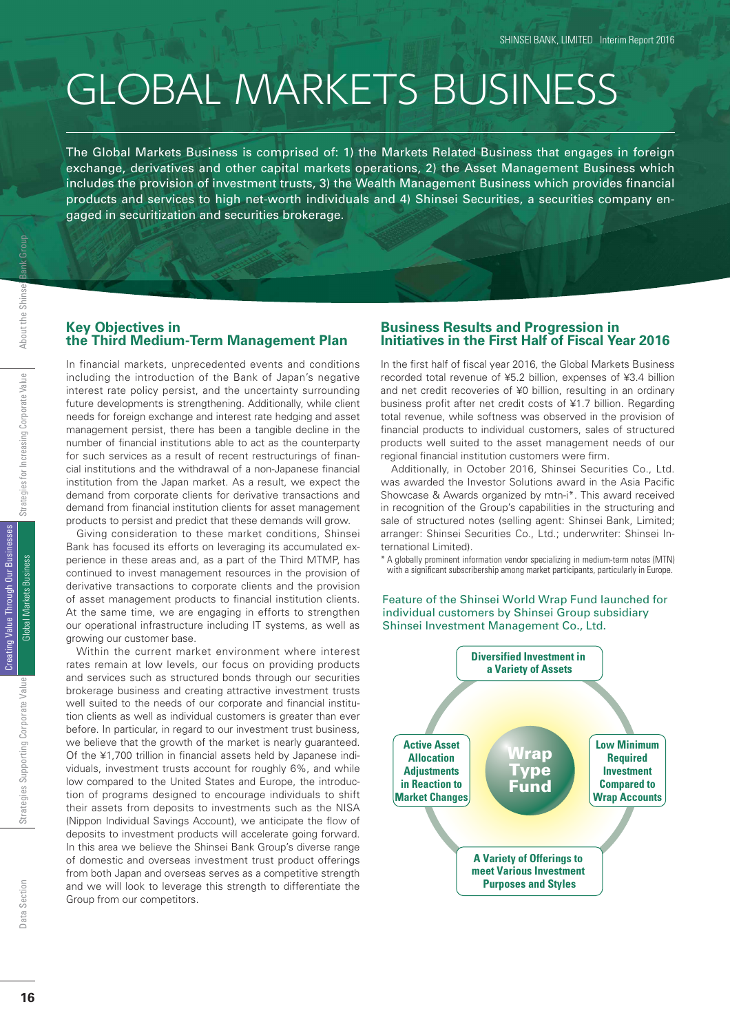# GLOBAL MARKETS BUSINESS

The Global Markets Business is comprised of: 1) the Markets Related Business that engages in foreign exchange, derivatives and other capital markets operations, 2) the Asset Management Business which includes the provision of investment trusts, 3) the Wealth Management Business which provides financial products and services to high net-worth individuals and 4) Shinsei Securities, a securities company engaged in securitization and securities brokerage.

#### **Key Objectives in the Third Medium-Term Management Plan**

In financial markets, unprecedented events and conditions including the introduction of the Bank of Japan's negative interest rate policy persist, and the uncertainty surrounding future developments is strengthening. Additionally, while client needs for foreign exchange and interest rate hedging and asset management persist, there has been a tangible decline in the number of financial institutions able to act as the counterparty for such services as a result of recent restructurings of financial institutions and the withdrawal of a non-Japanese financial institution from the Japan market. As a result, we expect the demand from corporate clients for derivative transactions and demand from financial institution clients for asset management products to persist and predict that these demands will grow.

Giving consideration to these market conditions, Shinsei Bank has focused its efforts on leveraging its accumulated experience in these areas and, as a part of the Third MTMP, has continued to invest management resources in the provision of derivative transactions to corporate clients and the provision of asset management products to financial institution clients. At the same time, we are engaging in efforts to strengthen our operational infrastructure including IT systems, as well as growing our customer base.

Within the current market environment where interest rates remain at low levels, our focus on providing products and services such as structured bonds through our securities brokerage business and creating attractive investment trusts well suited to the needs of our corporate and financial institution clients as well as individual customers is greater than ever before. In particular, in regard to our investment trust business, we believe that the growth of the market is nearly guaranteed. Of the ¥1,700 trillion in financial assets held by Japanese individuals, investment trusts account for roughly 6%, and while low compared to the United States and Europe, the introduction of programs designed to encourage individuals to shift their assets from deposits to investments such as the NISA (Nippon Individual Savings Account), we anticipate the flow of deposits to investment products will accelerate going forward. In this area we believe the Shinsei Bank Group's diverse range of domestic and overseas investment trust product offerings from both Japan and overseas serves as a competitive strength and we will look to leverage this strength to differentiate the Group from our competitors.

#### **Business Results and Progression in Initiatives in the First Half of Fiscal Year 2016**

In the first half of fiscal year 2016, the Global Markets Business recorded total revenue of ¥5.2 billion, expenses of ¥3.4 billion and net credit recoveries of ¥0 billion, resulting in an ordinary business profit after net credit costs of ¥1.7 billion. Regarding total revenue, while softness was observed in the provision of financial products to individual customers, sales of structured products well suited to the asset management needs of our regional financial institution customers were firm.

Additionally, in October 2016, Shinsei Securities Co., Ltd. was awarded the Investor Solutions award in the Asia Pacific Showcase & Awards organized by mtn-i\*. This award received in recognition of the Group's capabilities in the structuring and sale of structured notes (selling agent: Shinsei Bank, Limited; arranger: Shinsei Securities Co., Ltd.; underwriter: Shinsei International Limited).

\* A globally prominent information vendor specializing in medium-term notes (MTN) with a significant subscribership among market participants, particularly in Europe.

Feature of the Shinsei World Wrap Fund launched for individual customers by Shinsei Group subsidiary Shinsei Investment Management Co., Ltd.



16

Jata Section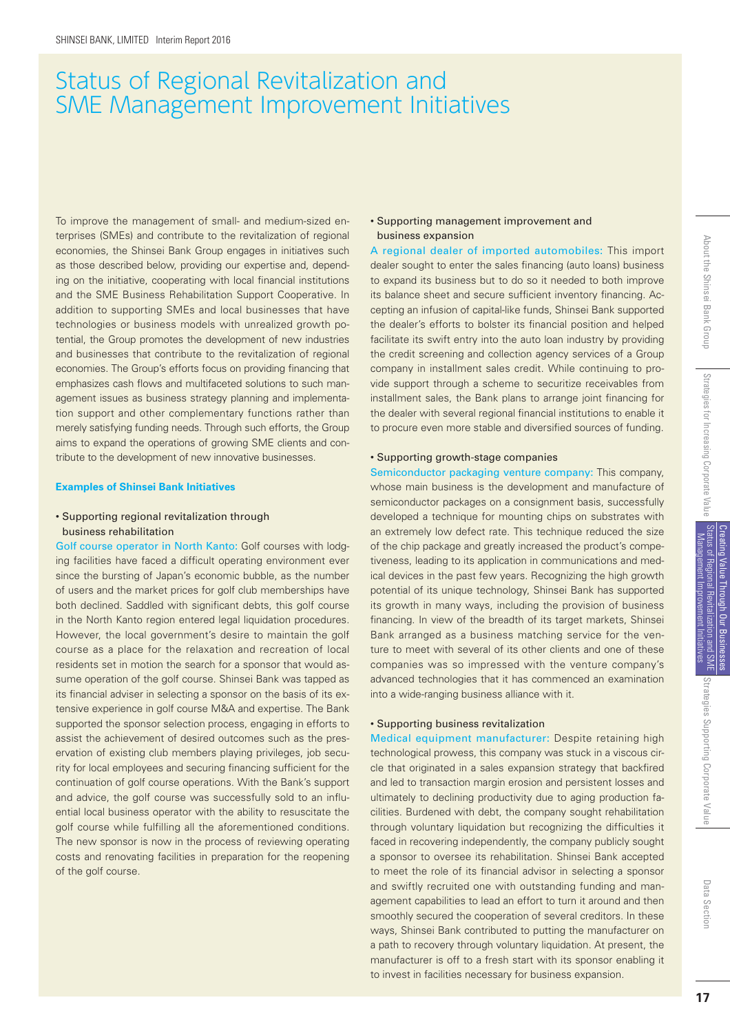## Status of Regional Revitalization and SME Management Improvement Initiatives

To improve the management of small- and medium-sized enterprises (SMEs) and contribute to the revitalization of regional economies, the Shinsei Bank Group engages in initiatives such as those described below, providing our expertise and, depending on the initiative, cooperating with local financial institutions and the SME Business Rehabilitation Support Cooperative. In addition to supporting SMEs and local businesses that have technologies or business models with unrealized growth potential, the Group promotes the development of new industries and businesses that contribute to the revitalization of regional economies. The Group's efforts focus on providing financing that emphasizes cash flows and multifaceted solutions to such management issues as business strategy planning and implementation support and other complementary functions rather than merely satisfying funding needs. Through such efforts, the Group aims to expand the operations of growing SME clients and contribute to the development of new innovative businesses.

#### **Examples of Shinsei Bank Initiatives**

#### • Supporting regional revitalization through business rehabilitation

Golf course operator in North Kanto: Golf courses with lodging facilities have faced a difficult operating environment ever since the bursting of Japan's economic bubble, as the number of users and the market prices for golf club memberships have both declined. Saddled with significant debts, this golf course in the North Kanto region entered legal liquidation procedures. However, the local government's desire to maintain the golf course as a place for the relaxation and recreation of local residents set in motion the search for a sponsor that would assume operation of the golf course. Shinsei Bank was tapped as its financial adviser in selecting a sponsor on the basis of its extensive experience in golf course M&A and expertise. The Bank supported the sponsor selection process, engaging in efforts to assist the achievement of desired outcomes such as the preservation of existing club members playing privileges, job security for local employees and securing financing sufficient for the continuation of golf course operations. With the Bank's support and advice, the golf course was successfully sold to an influential local business operator with the ability to resuscitate the golf course while fulfilling all the aforementioned conditions. The new sponsor is now in the process of reviewing operating costs and renovating facilities in preparation for the reopening of the golf course.

#### • Supporting management improvement and business expansion

A regional dealer of imported automobiles: This import dealer sought to enter the sales financing (auto loans) business to expand its business but to do so it needed to both improve its balance sheet and secure sufficient inventory financing. Accepting an infusion of capital-like funds, Shinsei Bank supported the dealer's efforts to bolster its financial position and helped facilitate its swift entry into the auto loan industry by providing the credit screening and collection agency services of a Group company in installment sales credit. While continuing to provide support through a scheme to securitize receivables from installment sales, the Bank plans to arrange joint financing for the dealer with several regional financial institutions to enable it to procure even more stable and diversified sources of funding.

#### • Supporting growth-stage companies

Semiconductor packaging venture company: This company, whose main business is the development and manufacture of semiconductor packages on a consignment basis, successfully developed a technique for mounting chips on substrates with an extremely low defect rate. This technique reduced the size of the chip package and greatly increased the product's competiveness, leading to its application in communications and medical devices in the past few years. Recognizing the high growth potential of its unique technology, Shinsei Bank has supported its growth in many ways, including the provision of business financing. In view of the breadth of its target markets, Shinsei Bank arranged as a business matching service for the venture to meet with several of its other clients and one of these companies was so impressed with the venture company's advanced technologies that it has commenced an examination into a wide-ranging business alliance with it.

#### • Supporting business revitalization

Medical equipment manufacturer: Despite retaining high technological prowess, this company was stuck in a viscous circle that originated in a sales expansion strategy that backfired and led to transaction margin erosion and persistent losses and ultimately to declining productivity due to aging production facilities. Burdened with debt, the company sought rehabilitation through voluntary liquidation but recognizing the difficulties it faced in recovering independently, the company publicly sought a sponsor to oversee its rehabilitation. Shinsei Bank accepted to meet the role of its financial advisor in selecting a sponsor and swiftly recruited one with outstanding funding and management capabilities to lead an effort to turn it around and then smoothly secured the cooperation of several creditors. In these ways, Shinsei Bank contributed to putting the manufacturer on a path to recovery through voluntary liquidation. At present, the manufacturer is off to a fresh start with its sponsor enabling it to invest in facilities necessary for business expansion.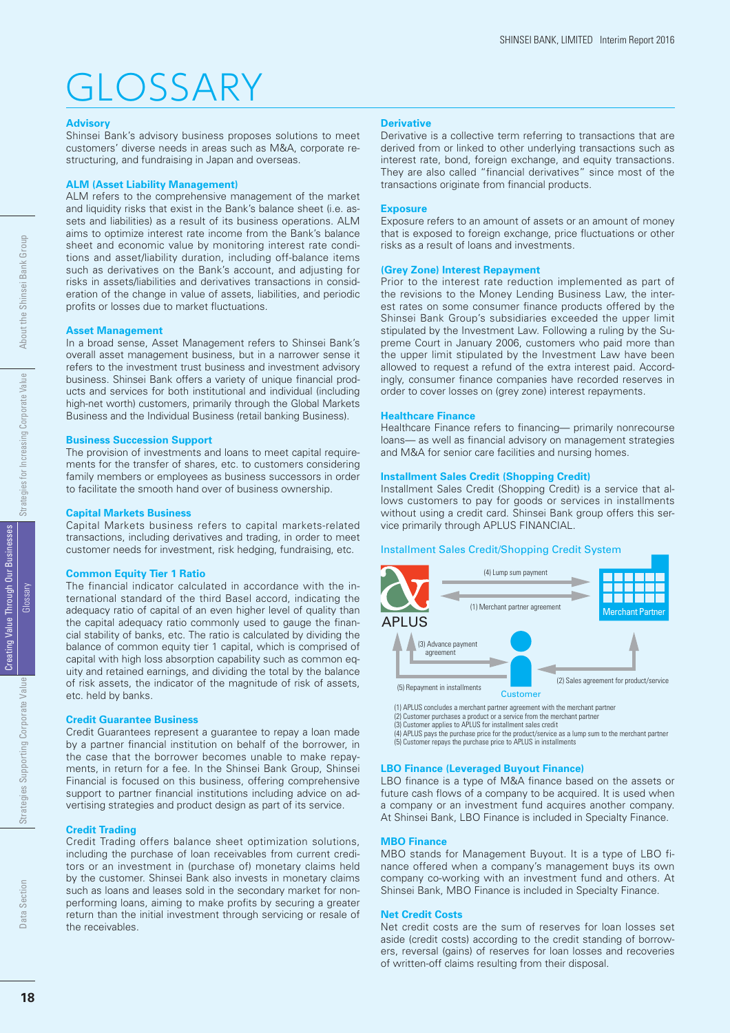## GLOSSARY

#### **Advisory**

Shinsei Bank's advisory business proposes solutions to meet customers' diverse needs in areas such as M&A, corporate restructuring, and fundraising in Japan and overseas.

#### **ALM (Asset Liability Management)**

ALM refers to the comprehensive management of the market and liquidity risks that exist in the Bank's balance sheet (i.e. assets and liabilities) as a result of its business operations. ALM aims to optimize interest rate income from the Bank's balance sheet and economic value by monitoring interest rate conditions and asset/liability duration, including off-balance items such as derivatives on the Bank's account, and adjusting for risks in assets/liabilities and derivatives transactions in consideration of the change in value of assets, liabilities, and periodic profits or losses due to market fluctuations.

#### **Asset Management**

In a broad sense, Asset Management refers to Shinsei Bank's overall asset management business, but in a narrower sense it refers to the investment trust business and investment advisory business. Shinsei Bank offers a variety of unique financial products and services for both institutional and individual (including high-net worth) customers, primarily through the Global Markets Business and the Individual Business (retail banking Business).

#### **Business Succession Support**

The provision of investments and loans to meet capital requirements for the transfer of shares, etc. to customers considering family members or employees as business successors in order to facilitate the smooth hand over of business ownership.

#### **Capital Markets Business**

Capital Markets business refers to capital markets-related transactions, including derivatives and trading, in order to meet customer needs for investment, risk hedging, fundraising, etc.

#### **Common Equity Tier 1 Ratio**

The financial indicator calculated in accordance with the international standard of the third Basel accord, indicating the adequacy ratio of capital of an even higher level of quality than the capital adequacy ratio commonly used to gauge the financial stability of banks, etc. The ratio is calculated by dividing the balance of common equity tier 1 capital, which is comprised of capital with high loss absorption capability such as common equity and retained earnings, and dividing the total by the balance of risk assets, the indicator of the magnitude of risk of assets, etc. held by banks.

#### **Credit Guarantee Business**

Credit Guarantees represent a guarantee to repay a loan made by a partner financial institution on behalf of the borrower, in the case that the borrower becomes unable to make repayments, in return for a fee. In the Shinsei Bank Group, Shinsei Financial is focused on this business, offering comprehensive support to partner financial institutions including advice on advertising strategies and product design as part of its service.

#### **Credit Trading**

Credit Trading offers balance sheet optimization solutions, including the purchase of loan receivables from current creditors or an investment in (purchase of) monetary claims held by the customer. Shinsei Bank also invests in monetary claims such as loans and leases sold in the secondary market for nonperforming loans, aiming to make profits by securing a greater return than the initial investment through servicing or resale of the receivables.

#### **Derivative**

Derivative is a collective term referring to transactions that are derived from or linked to other underlying transactions such as interest rate, bond, foreign exchange, and equity transactions. They are also called "financial derivatives" since most of the transactions originate from financial products.

#### **Exposure**

Exposure refers to an amount of assets or an amount of money that is exposed to foreign exchange, price fluctuations or other risks as a result of loans and investments.

#### **(Grey Zone) Interest Repayment**

Prior to the interest rate reduction implemented as part of the revisions to the Money Lending Business Law, the interest rates on some consumer finance products offered by the Shinsei Bank Group's subsidiaries exceeded the upper limit stipulated by the Investment Law. Following a ruling by the Supreme Court in January 2006, customers who paid more than the upper limit stipulated by the Investment Law have been allowed to request a refund of the extra interest paid. Accordingly, consumer finance companies have recorded reserves in order to cover losses on (grey zone) interest repayments.

#### **Healthcare Finance**

Healthcare Finance refers to financing- primarily nonrecourse loans— as well as financial advisory on management strategies and M&A for senior care facilities and nursing homes.

#### **Installment Sales Credit (Shopping Credit)**

Installment Sales Credit (Shopping Credit) is a service that allows customers to pay for goods or services in installments without using a credit card. Shinsei Bank group offers this service primarily through APLUS FINANCIAL.

#### Installment Sales Credit/Shopping Credit System



(2) Customer purchases a product or a service from the merchant partner

(3) Customer applies to APLUS for installment sales credit<br>(4) APLUS pays the purchase price for the product/service as a lump sum to the merchant partner<br>(5) Customer repays the purchase price to APLUS in installments

#### **LBO Finance (Leveraged Buyout Finance)**

LBO finance is a type of M&A finance based on the assets or future cash flows of a company to be acquired. It is used when a company or an investment fund acquires another company. At Shinsei Bank, LBO Finance is included in Specialty Finance.

#### **MBO Finance**

MBO stands for Management Buyout. It is a type of LBO finance offered when a company's management buys its own company co-working with an investment fund and others. At Shinsei Bank, MBO Finance is included in Specialty Finance.

#### **Net Credit Costs**

Net credit costs are the sum of reserves for loan losses set aside (credit costs) according to the credit standing of borrowers, reversal (gains) of reserves for loan losses and recoveries of written-off claims resulting from their disposal.

Strateg

gies Supporting Corporate Value